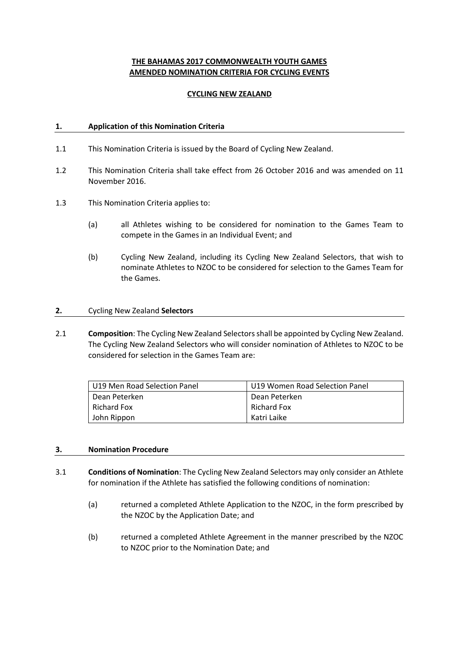# **THE BAHAMAS 2017 COMMONWEALTH YOUTH GAMES AMENDED NOMINATION CRITERIA FOR CYCLING EVENTS**

### **CYCLING NEW ZEALAND**

#### **1. Application of this Nomination Criteria**

- 1.1 This Nomination Criteria is issued by the Board of Cycling New Zealand.
- 1.2 This Nomination Criteria shall take effect from 26 October 2016 and was amended on 11 November 2016.
- 1.3 This Nomination Criteria applies to:
	- (a) all Athletes wishing to be considered for nomination to the Games Team to compete in the Games in an Individual Event; and
	- (b) Cycling New Zealand, including its Cycling New Zealand Selectors, that wish to nominate Athletes to NZOC to be considered for selection to the Games Team for the Games.

#### **2.** Cycling New Zealand **Selectors**

2.1 **Composition**: The Cycling New Zealand Selectors shall be appointed by Cycling New Zealand. The Cycling New Zealand Selectors who will consider nomination of Athletes to NZOC to be considered for selection in the Games Team are:

| l U19 Men Road Selection Panel | U19 Women Road Selection Panel |
|--------------------------------|--------------------------------|
| l Dean Peterken                | Dean Peterken                  |
| l Richard Fox                  | Richard Fox                    |
| John Rippon                    | Katri Laike                    |

#### **3. Nomination Procedure**

- 3.1 **Conditions of Nomination**: The Cycling New Zealand Selectors may only consider an Athlete for nomination if the Athlete has satisfied the following conditions of nomination:
	- (a) returned a completed Athlete Application to the NZOC, in the form prescribed by the NZOC by the Application Date; and
	- (b) returned a completed Athlete Agreement in the manner prescribed by the NZOC to NZOC prior to the Nomination Date; and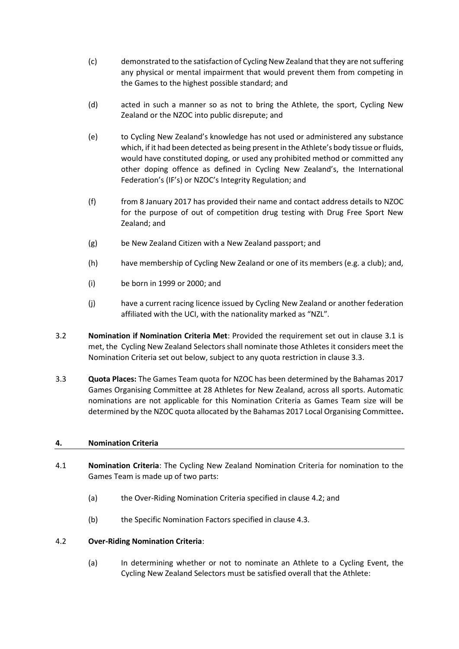- (c) demonstrated to the satisfaction of Cycling New Zealand that they are not suffering any physical or mental impairment that would prevent them from competing in the Games to the highest possible standard; and
- (d) acted in such a manner so as not to bring the Athlete, the sport, Cycling New Zealand or the NZOC into public disrepute; and
- (e) to Cycling New Zealand's knowledge has not used or administered any substance which, if it had been detected as being present in the Athlete's body tissue or fluids, would have constituted doping, or used any prohibited method or committed any other doping offence as defined in Cycling New Zealand's, the International Federation's (IF's) or NZOC's Integrity Regulation; and
- (f) from 8 January 2017 has provided their name and contact address details to NZOC for the purpose of out of competition drug testing with Drug Free Sport New Zealand; and
- (g) be New Zealand Citizen with a New Zealand passport; and
- (h) have membership of Cycling New Zealand or one of its members (e.g. a club); and,
- (i) be born in 1999 or 2000; and
- (j) have a current racing licence issued by Cycling New Zealand or another federation affiliated with the UCI, with the nationality marked as "NZL"*.*
- 3.2 **Nomination if Nomination Criteria Met**: Provided the requirement set out in clause 3.1 is met, the Cycling New Zealand Selectors shall nominate those Athletes it considers meet the Nomination Criteria set out below, subject to any quota restriction in clause 3.3.
- 3.3 **Quota Places:** The Games Team quota for NZOC has been determined by the Bahamas 2017 Games Organising Committee at 28 Athletes for New Zealand, across all sports. Automatic nominations are not applicable for this Nomination Criteria as Games Team size will be determined by the NZOC quota allocated by the Bahamas 2017 Local Organising Committee**.**

### **4. Nomination Criteria**

- 4.1 **Nomination Criteria**: The Cycling New Zealand Nomination Criteria for nomination to the Games Team is made up of two parts:
	- (a) the Over-Riding Nomination Criteria specified in clause [4.2;](#page-1-0) and
	- (b) the Specific Nomination Factors specified in clause 4.3.

### <span id="page-1-0"></span>4.2 **Over-Riding Nomination Criteria**:

(a) In determining whether or not to nominate an Athlete to a Cycling Event, the Cycling New Zealand Selectors must be satisfied overall that the Athlete: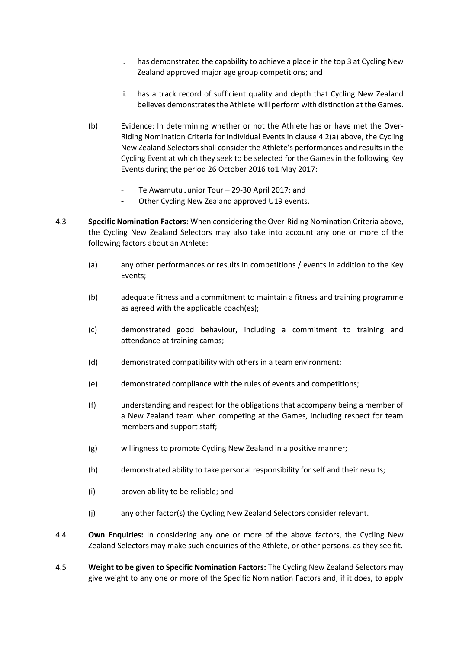- i. has demonstrated the capability to achieve a place in the top 3 at Cycling New Zealand approved major age group competitions; and
- ii. has a track record of sufficient quality and depth that Cycling New Zealand believes demonstrates the Athlete will perform with distinction at the Games.
- (b) Evidence: In determining whether or not the Athlete has or have met the Over-Riding Nomination Criteria for Individual Events in clause 4.2(a) above, the Cycling New Zealand Selectors shall consider the Athlete's performances and results in the Cycling Event at which they seek to be selected for the Games in the following Key Events during the period 26 October 2016 to1 May 2017:
	- Te Awamutu Junior Tour 29-30 April 2017; and
	- Other Cycling New Zealand approved U19 events.
- 4.3 **Specific Nomination Factors**: When considering the Over-Riding Nomination Criteria above, the Cycling New Zealand Selectors may also take into account any one or more of the following factors about an Athlete:
	- (a) any other performances or results in competitions / events in addition to the Key Events;
	- (b) adequate fitness and a commitment to maintain a fitness and training programme as agreed with the applicable coach(es);
	- (c) demonstrated good behaviour, including a commitment to training and attendance at training camps;
	- (d) demonstrated compatibility with others in a team environment;
	- (e) demonstrated compliance with the rules of events and competitions;
	- (f) understanding and respect for the obligations that accompany being a member of a New Zealand team when competing at the Games, including respect for team members and support staff;
	- (g) willingness to promote Cycling New Zealand in a positive manner;
	- (h) demonstrated ability to take personal responsibility for self and their results;
	- (i) proven ability to be reliable; and
	- (j) any other factor(s) the Cycling New Zealand Selectors consider relevant.
- 4.4 **Own Enquiries:** In considering any one or more of the above factors, the Cycling New Zealand Selectors may make such enquiries of the Athlete, or other persons, as they see fit.
- 4.5 **Weight to be given to Specific Nomination Factors:** The Cycling New Zealand Selectors may give weight to any one or more of the Specific Nomination Factors and, if it does, to apply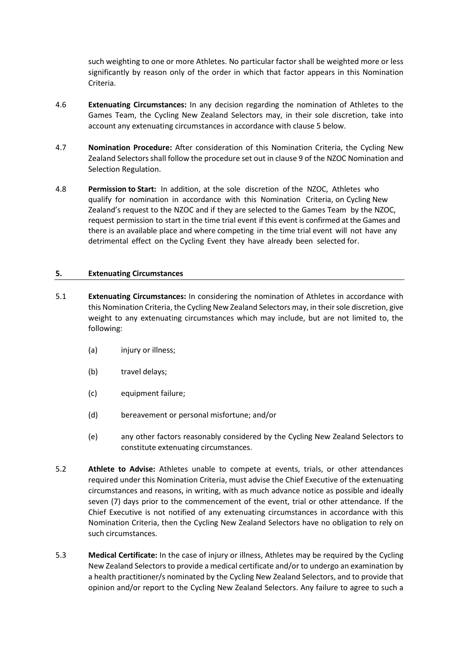such weighting to one or more Athletes. No particular factor shall be weighted more or less significantly by reason only of the order in which that factor appears in this Nomination Criteria.

- 4.6 **Extenuating Circumstances:** In any decision regarding the nomination of Athletes to the Games Team, the Cycling New Zealand Selectors may, in their sole discretion, take into account any extenuating circumstances in accordance with claus[e 5](#page-3-0) below.
- 4.7 **Nomination Procedure:** After consideration of this Nomination Criteria, the Cycling New Zealand Selectors shall follow the procedure set out in clause 9 of the NZOC Nomination and Selection Regulation.
- 4.8 **Permission to Start:** In addition, at the sole discretion of the NZOC, Athletes who qualify for nomination in accordance with this Nomination Criteria, on Cycling New Zealand's request to the NZOC and if they are selected to the Games Team by the NZOC, request permission to start in the time trial event if this event is confirmed at the Games and there is an available place and where competing in the time trial event will not have any detrimental effect on the Cycling Event they have already been selected for.

### <span id="page-3-0"></span>**5. Extenuating Circumstances**

- 5.1 **Extenuating Circumstances:** In considering the nomination of Athletes in accordance with this Nomination Criteria, the Cycling New Zealand Selectors may, in their sole discretion, give weight to any extenuating circumstances which may include, but are not limited to, the following:
	- (a) injury or illness;
	- (b) travel delays;
	- (c) equipment failure;
	- (d) bereavement or personal misfortune; and/or
	- (e) any other factors reasonably considered by the Cycling New Zealand Selectors to constitute extenuating circumstances.
- 5.2 **Athlete to Advise:** Athletes unable to compete at events, trials, or other attendances required under this Nomination Criteria, must advise the Chief Executive of the extenuating circumstances and reasons, in writing, with as much advance notice as possible and ideally seven (7) days prior to the commencement of the event, trial or other attendance. If the Chief Executive is not notified of any extenuating circumstances in accordance with this Nomination Criteria, then the Cycling New Zealand Selectors have no obligation to rely on such circumstances.
- 5.3 **Medical Certificate:** In the case of injury or illness, Athletes may be required by the Cycling New Zealand Selectors to provide a medical certificate and/or to undergo an examination by a health practitioner/s nominated by the Cycling New Zealand Selectors, and to provide that opinion and/or report to the Cycling New Zealand Selectors. Any failure to agree to such a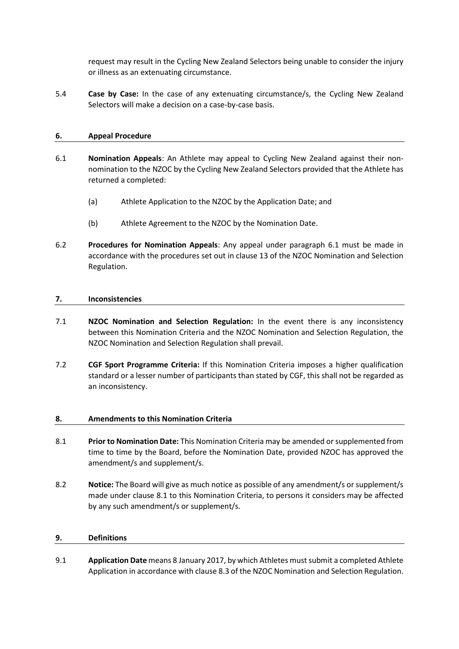request may result in the Cycling New Zealand Selectors being unable to consider the injury or illness as an extenuating circumstance.

5.4 **Case by Case:** In the case of any extenuating circumstance/s, the Cycling New Zealand Selectors will make a decision on a case-by-case basis.

### **6. Appeal Procedure**

- 6.1 **Nomination Appeals**: An Athlete may appeal to Cycling New Zealand against their nonnomination to the NZOC by the Cycling New Zealand Selectors provided that the Athlete has returned a completed:
	- (a) Athlete Application to the NZOC by the Application Date; and
	- (b) Athlete Agreement to the NZOC by the Nomination Date.
- 6.2 **Procedures for Nomination Appeals**: Any appeal under paragraph 6.1 must be made in accordance with the procedures set out in clause 13 of the NZOC Nomination and Selection Regulation.

#### **7. Inconsistencies**

- 7.1 **NZOC Nomination and Selection Regulation:** In the event there is any inconsistency between this Nomination Criteria and the NZOC Nomination and Selection Regulation, the NZOC Nomination and Selection Regulation shall prevail.
- 7.2 **CGF Sport Programme Criteria:** If this Nomination Criteria imposes a higher qualification standard or a lesser number of participants than stated by CGF, this shall not be regarded as an inconsistency.

### **8. Amendments to this Nomination Criteria**

- 8.1 **Prior to Nomination Date:** This Nomination Criteria may be amended or supplemented from time to time by the Board, before the Nomination Date, provided NZOC has approved the amendment/s and supplement/s.
- 8.2 **Notice:** The Board will give as much notice as possible of any amendment/s or supplement/s made under clause 8.1 to this Nomination Criteria, to persons it considers may be affected by any such amendment/s or supplement/s.

#### **9. Definitions**

9.1 **Application Date** means 8 January 2017, by which Athletes must submit a completed Athlete Application in accordance with clause 8.3 of the NZOC Nomination and Selection Regulation.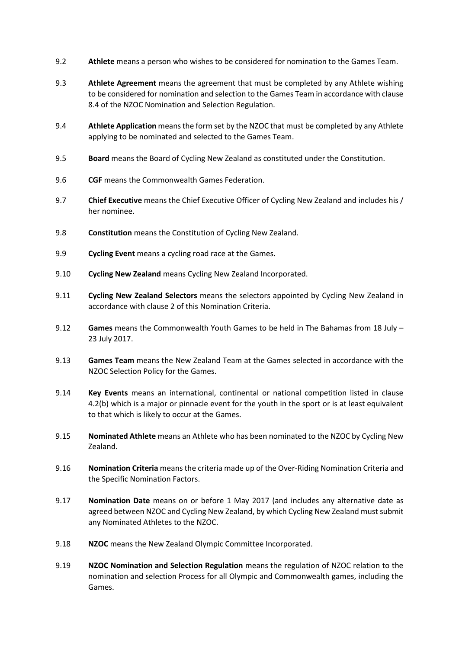- 9.2 **Athlete** means a person who wishes to be considered for nomination to the Games Team.
- 9.3 **Athlete Agreement** means the agreement that must be completed by any Athlete wishing to be considered for nomination and selection to the Games Team in accordance with clause 8.4 of the NZOC Nomination and Selection Regulation.
- 9.4 **Athlete Application** means the form set by the NZOC that must be completed by any Athlete applying to be nominated and selected to the Games Team.
- 9.5 **Board** means the Board of Cycling New Zealand as constituted under the Constitution.
- 9.6 **CGF** means the Commonwealth Games Federation.
- 9.7 **Chief Executive** means the Chief Executive Officer of Cycling New Zealand and includes his / her nominee.
- 9.8 **Constitution** means the Constitution of Cycling New Zealand.
- 9.9 **Cycling Event** means a cycling road race at the Games.
- 9.10 **Cycling New Zealand** means Cycling New Zealand Incorporated.
- 9.11 **Cycling New Zealand Selectors** means the selectors appointed by Cycling New Zealand in accordance with clause 2 of this Nomination Criteria.
- 9.12 **Games** means the Commonwealth Youth Games to be held in The Bahamas from 18 July 23 July 2017.
- 9.13 **Games Team** means the New Zealand Team at the Games selected in accordance with the NZOC Selection Policy for the Games.
- 9.14 **Key Events** means an international, continental or national competition listed in clause 4.2(b) which is a major or pinnacle event for the youth in the sport or is at least equivalent to that which is likely to occur at the Games.
- 9.15 **Nominated Athlete** means an Athlete who has been nominated to the NZOC by Cycling New Zealand.
- 9.16 **Nomination Criteria** means the criteria made up of the Over-Riding Nomination Criteria and the Specific Nomination Factors.
- 9.17 **Nomination Date** means on or before 1 May 2017 (and includes any alternative date as agreed between NZOC and Cycling New Zealand, by which Cycling New Zealand must submit any Nominated Athletes to the NZOC.
- 9.18 **NZOC** means the New Zealand Olympic Committee Incorporated.
- 9.19 **NZOC Nomination and Selection Regulation** means the regulation of NZOC relation to the nomination and selection Process for all Olympic and Commonwealth games, including the Games.